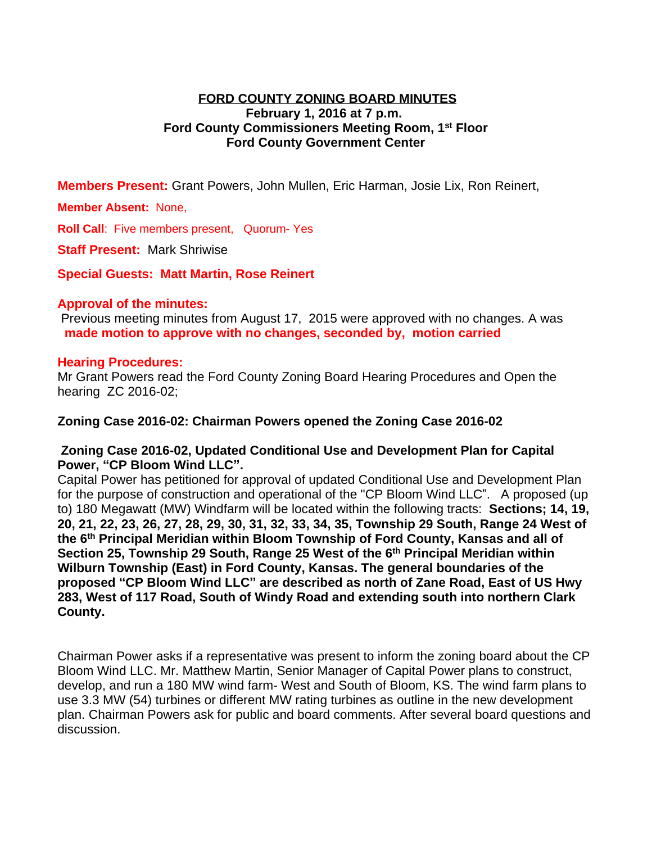## **FORD COUNTY ZONING BOARD MINUTES February 1, 2016 at 7 p.m. Ford County Commissioners Meeting Room, 1st Floor Ford County Government Center**

**Members Present:** Grant Powers, John Mullen, Eric Harman, Josie Lix, Ron Reinert,

### **Member Absent:** None,

**Roll Call**: Five members present, Quorum- Yes

**Staff Present: Mark Shriwise** 

**Special Guests: Matt Martin, Rose Reinert**

#### **Approval of the minutes:**

 Previous meeting minutes from August 17, 2015 were approved with no changes. A was **made motion to approve with no changes, seconded by, motion carried**

#### **Hearing Procedures:**

Mr Grant Powers read the Ford County Zoning Board Hearing Procedures and Open the hearing ZC 2016-02;

### **Zoning Case 2016-02: Chairman Powers opened the Zoning Case 2016-02**

### **Zoning Case 2016-02, Updated Conditional Use and Development Plan for Capital Power, "CP Bloom Wind LLC".**

Capital Power has petitioned for approval of updated Conditional Use and Development Plan for the purpose of construction and operational of the "CP Bloom Wind LLC". A proposed (up to) 180 Megawatt (MW) Windfarm will be located within the following tracts: **Sections; 14, 19, 20, 21, 22, 23, 26, 27, 28, 29, 30, 31, 32, 33, 34, 35, Township 29 South, Range 24 West of the 6th Principal Meridian within Bloom Township of Ford County, Kansas and all of Section 25, Township 29 South, Range 25 West of the 6th Principal Meridian within Wilburn Township (East) in Ford County, Kansas. The general boundaries of the proposed "CP Bloom Wind LLC" are described as north of Zane Road, East of US Hwy 283, West of 117 Road, South of Windy Road and extending south into northern Clark County.**

Chairman Power asks if a representative was present to inform the zoning board about the CP Bloom Wind LLC. Mr. Matthew Martin, Senior Manager of Capital Power plans to construct, develop, and run a 180 MW wind farm- West and South of Bloom, KS. The wind farm plans to use 3.3 MW (54) turbines or different MW rating turbines as outline in the new development plan. Chairman Powers ask for public and board comments. After several board questions and discussion.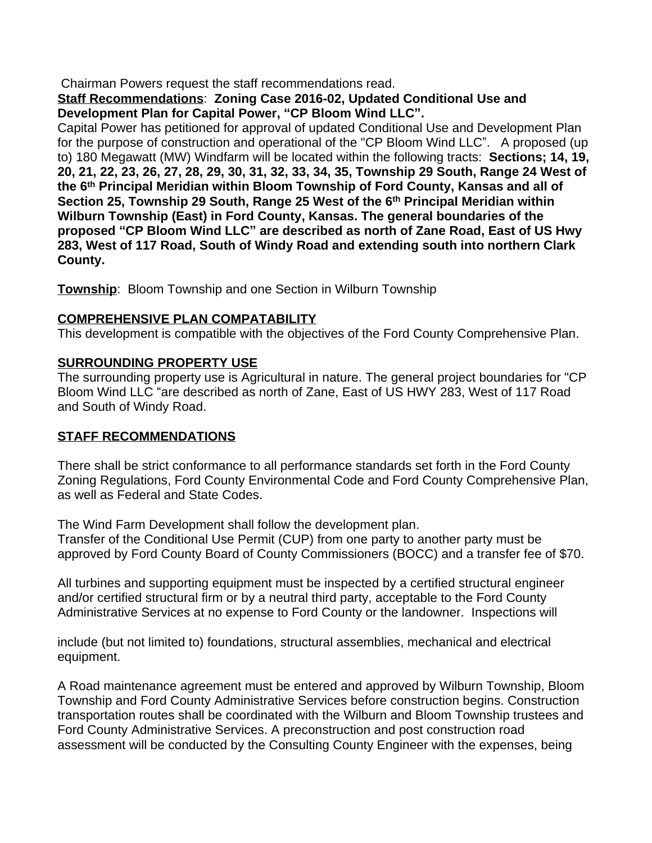Chairman Powers request the staff recommendations read.

**Staff Recommendations**: **Zoning Case 2016-02, Updated Conditional Use and Development Plan for Capital Power, "CP Bloom Wind LLC".** 

Capital Power has petitioned for approval of updated Conditional Use and Development Plan for the purpose of construction and operational of the "CP Bloom Wind LLC". A proposed (up to) 180 Megawatt (MW) Windfarm will be located within the following tracts: **Sections; 14, 19, 20, 21, 22, 23, 26, 27, 28, 29, 30, 31, 32, 33, 34, 35, Township 29 South, Range 24 West of the 6th Principal Meridian within Bloom Township of Ford County, Kansas and all of Section 25, Township 29 South, Range 25 West of the 6th Principal Meridian within Wilburn Township (East) in Ford County, Kansas. The general boundaries of the proposed "CP Bloom Wind LLC" are described as north of Zane Road, East of US Hwy 283, West of 117 Road, South of Windy Road and extending south into northern Clark County.**

**Township**: Bloom Township and one Section in Wilburn Township

# **COMPREHENSIVE PLAN COMPATABILITY**

This development is compatible with the objectives of the Ford County Comprehensive Plan.

# **SURROUNDING PROPERTY USE**

The surrounding property use is Agricultural in nature. The general project boundaries for "CP Bloom Wind LLC "are described as north of Zane, East of US HWY 283, West of 117 Road and South of Windy Road.

# **STAFF RECOMMENDATIONS**

There shall be strict conformance to all performance standards set forth in the Ford County Zoning Regulations, Ford County Environmental Code and Ford County Comprehensive Plan, as well as Federal and State Codes.

The Wind Farm Development shall follow the development plan. Transfer of the Conditional Use Permit (CUP) from one party to another party must be approved by Ford County Board of County Commissioners (BOCC) and a transfer fee of \$70.

All turbines and supporting equipment must be inspected by a certified structural engineer and/or certified structural firm or by a neutral third party, acceptable to the Ford County Administrative Services at no expense to Ford County or the landowner. Inspections will

include (but not limited to) foundations, structural assemblies, mechanical and electrical equipment.

A Road maintenance agreement must be entered and approved by Wilburn Township, Bloom Township and Ford County Administrative Services before construction begins. Construction transportation routes shall be coordinated with the Wilburn and Bloom Township trustees and Ford County Administrative Services. A preconstruction and post construction road assessment will be conducted by the Consulting County Engineer with the expenses, being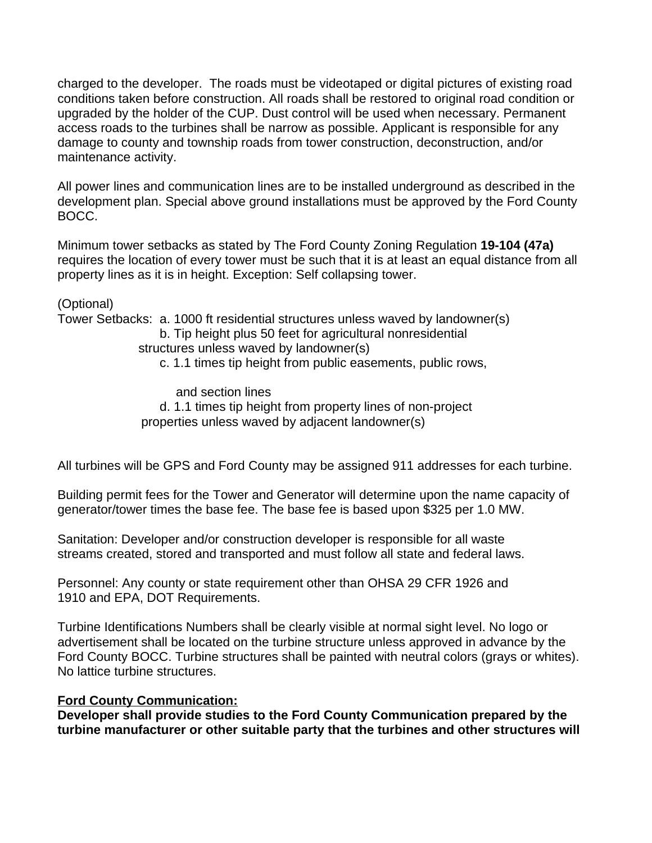charged to the developer. The roads must be videotaped or digital pictures of existing road conditions taken before construction. All roads shall be restored to original road condition or upgraded by the holder of the CUP. Dust control will be used when necessary. Permanent access roads to the turbines shall be narrow as possible. Applicant is responsible for any damage to county and township roads from tower construction, deconstruction, and/or maintenance activity.

All power lines and communication lines are to be installed underground as described in the development plan. Special above ground installations must be approved by the Ford County BOCC.

Minimum tower setbacks as stated by The Ford County Zoning Regulation **19-104 (47a)** requires the location of every tower must be such that it is at least an equal distance from all property lines as it is in height. Exception: Self collapsing tower.

(Optional)

Tower Setbacks: a. 1000 ft residential structures unless waved by landowner(s) b. Tip height plus 50 feet for agricultural nonresidential

structures unless waved by landowner(s)

c. 1.1 times tip height from public easements, public rows,

 and section lines d. 1.1 times tip height from property lines of non-project properties unless waved by adjacent landowner(s)

All turbines will be GPS and Ford County may be assigned 911 addresses for each turbine.

Building permit fees for the Tower and Generator will determine upon the name capacity of generator/tower times the base fee. The base fee is based upon \$325 per 1.0 MW.

Sanitation: Developer and/or construction developer is responsible for all waste streams created, stored and transported and must follow all state and federal laws.

Personnel: Any county or state requirement other than OHSA 29 CFR 1926 and 1910 and EPA, DOT Requirements.

Turbine Identifications Numbers shall be clearly visible at normal sight level. No logo or advertisement shall be located on the turbine structure unless approved in advance by the Ford County BOCC. Turbine structures shall be painted with neutral colors (grays or whites). No lattice turbine structures.

## **Ford County Communication:**

**Developer shall provide studies to the Ford County Communication prepared by the turbine manufacturer or other suitable party that the turbines and other structures will**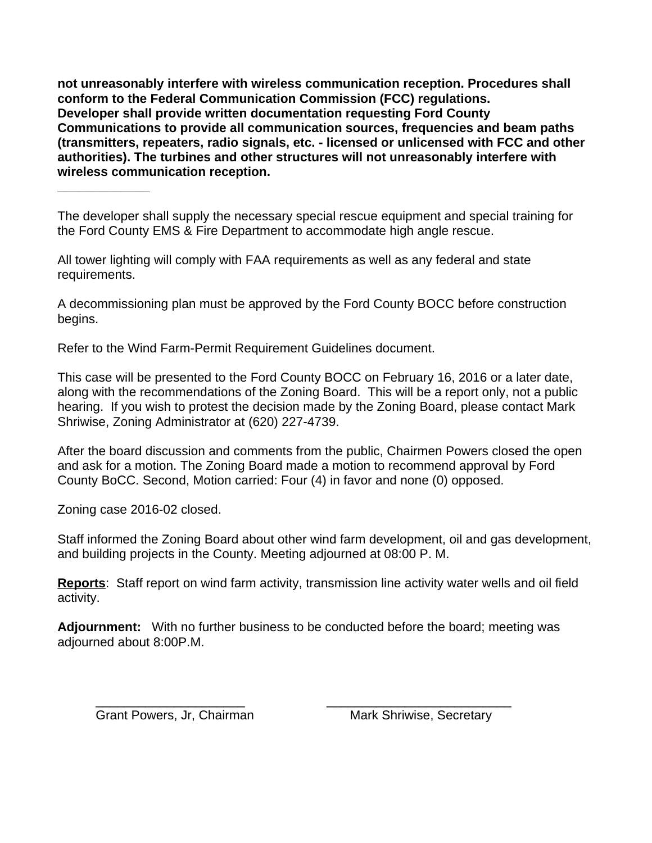**not unreasonably interfere with wireless communication reception. Procedures shall conform to the Federal Communication Commission (FCC) regulations. Developer shall provide written documentation requesting Ford County Communications to provide all communication sources, frequencies and beam paths (transmitters, repeaters, radio signals, etc. - licensed or unlicensed with FCC and other authorities). The turbines and other structures will not unreasonably interfere with wireless communication reception.**

The developer shall supply the necessary special rescue equipment and special training for the Ford County EMS & Fire Department to accommodate high angle rescue.

All tower lighting will comply with FAA requirements as well as any federal and state requirements.

A decommissioning plan must be approved by the Ford County BOCC before construction begins.

Refer to the Wind Farm-Permit Requirement Guidelines document.

This case will be presented to the Ford County BOCC on February 16, 2016 or a later date, along with the recommendations of the Zoning Board. This will be a report only, not a public hearing. If you wish to protest the decision made by the Zoning Board, please contact Mark Shriwise, Zoning Administrator at (620) 227-4739.

After the board discussion and comments from the public, Chairmen Powers closed the open and ask for a motion. The Zoning Board made a motion to recommend approval by Ford County BoCC. Second, Motion carried: Four (4) in favor and none (0) opposed.

Zoning case 2016-02 closed.

**\_\_\_\_\_\_\_\_\_\_\_\_\_**

Staff informed the Zoning Board about other wind farm development, oil and gas development, and building projects in the County. Meeting adjourned at 08:00 P. M.

**Reports**: Staff report on wind farm activity, transmission line activity water wells and oil field activity.

**Adjournment:** With no further business to be conducted before the board; meeting was adjourned about 8:00P.M.

\_\_\_\_\_\_\_\_\_\_\_\_\_\_\_\_\_\_\_\_\_ \_\_\_\_\_\_\_\_\_\_\_\_\_\_\_\_\_\_\_\_\_\_\_\_\_\_

Grant Powers, Jr, Chairman Mark Shriwise, Secretary